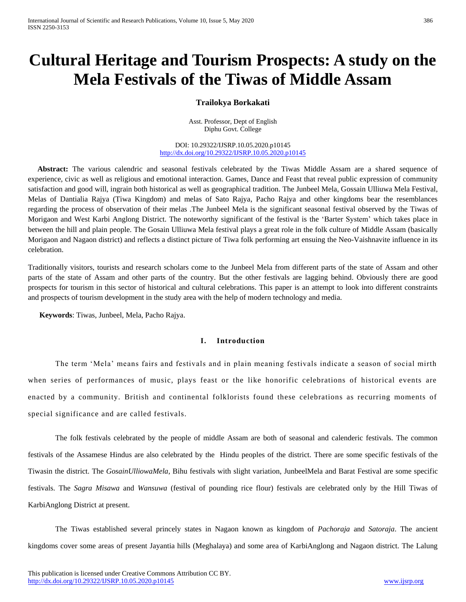# **Cultural Heritage and Tourism Prospects: A study on the Mela Festivals of the Tiwas of Middle Assam**

# **Trailokya Borkakati**

Asst. Professor, Dept of English Diphu Govt. College

DOI: 10.29322/IJSRP.10.05.2020.p10145 <http://dx.doi.org/10.29322/IJSRP.10.05.2020.p10145>

 **Abstract:** The various calendric and seasonal festivals celebrated by the Tiwas Middle Assam are a shared sequence of experience, civic as well as religious and emotional interaction. Games, Dance and Feast that reveal public expression of community satisfaction and good will, ingrain both historical as well as geographical tradition. The Junbeel Mela, Gossain Ulliuwa Mela Festival, Melas of Dantialia Rajya (Tiwa Kingdom) and melas of Sato Rajya, Pacho Rajya and other kingdoms bear the resemblances regarding the process of observation of their melas .The Junbeel Mela is the significant seasonal festival observed by the Tiwas of Morigaon and West Karbi Anglong District. The noteworthy significant of the festival is the 'Barter System' which takes place in between the hill and plain people. The Gosain Ulliuwa Mela festival plays a great role in the folk culture of Middle Assam (basically Morigaon and Nagaon district) and reflects a distinct picture of Tiwa folk performing art ensuing the Neo-Vaishnavite influence in its celebration.

Traditionally visitors, tourists and research scholars come to the Junbeel Mela from different parts of the state of Assam and other parts of the state of Assam and other parts of the country. But the other festivals are lagging behind. Obviously there are good prospects for tourism in this sector of historical and cultural celebrations. This paper is an attempt to look into different constraints and prospects of tourism development in the study area with the help of modern technology and media.

 **Keywords**: Tiwas, Junbeel, Mela, Pacho Rajya.

#### **I. Introduction**

The term 'Mela' means fairs and festivals and in plain meaning festivals indicate a season of social mirth when series of performances of music, plays feast or the like honorific celebrations of historical events are enacted by a community. British and continental folklorists found these celebrations as recurring moments of special significance and are called festivals.

The folk festivals celebrated by the people of middle Assam are both of seasonal and calenderic festivals. The common festivals of the Assamese Hindus are also celebrated by the Hindu peoples of the district. There are some specific festivals of the Tiwasin the district. The *GosainUlliowaMela*, Bihu festivals with slight variation, JunbeelMela and Barat Festival are some specific festivals. The *Sagra Misawa* and *Wansuwa* (festival of pounding rice flour) festivals are celebrated only by the Hill Tiwas of KarbiAnglong District at present.

The Tiwas established several princely states in Nagaon known as kingdom of *Pachoraja* and *Satoraja*. The ancient kingdoms cover some areas of present Jayantia hills (Meghalaya) and some area of KarbiAnglong and Nagaon district. The Lalung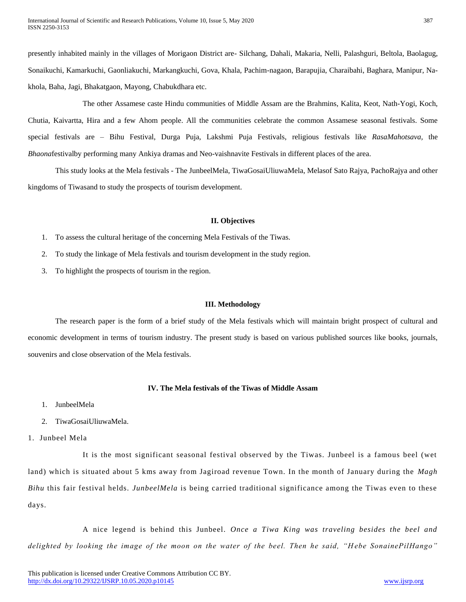presently inhabited mainly in the villages of Morigaon District are- Silchang, Dahali, Makaria, Nelli, Palashguri, Beltola, Baolagug, Sonaikuchi, Kamarkuchi, Gaonliakuchi, Markangkuchi, Gova, Khala, Pachim-nagaon, Barapujia, Charaibahi, Baghara, Manipur, Nakhola, Baha, Jagi, Bhakatgaon, Mayong, Chabukdhara etc.

The other Assamese caste Hindu communities of Middle Assam are the Brahmins, Kalita, Keot, Nath-Yogi, Koch, Chutia, Kaivartta, Hira and a few Ahom people. All the communities celebrate the common Assamese seasonal festivals. Some special festivals are – Bihu Festival, Durga Puja, Lakshmi Puja Festivals, religious festivals like *RasaMahotsava,* the *Bhaona*festivalby performing many Ankiya dramas and Neo-vaishnavite Festivals in different places of the area.

This study looks at the Mela festivals - The JunbeelMela, TiwaGosaiUliuwaMela, Melasof Sato Rajya, PachoRajya and other kingdoms of Tiwasand to study the prospects of tourism development.

#### **II. Objectives**

- 1. To assess the cultural heritage of the concerning Mela Festivals of the Tiwas.
- 2. To study the linkage of Mela festivals and tourism development in the study region.
- 3. To highlight the prospects of tourism in the region.

#### **III. Methodology**

The research paper is the form of a brief study of the Mela festivals which will maintain bright prospect of cultural and economic development in terms of tourism industry. The present study is based on various published sources like books, journals, souvenirs and close observation of the Mela festivals.

# **IV. The Mela festivals of the Tiwas of Middle Assam**

- 1. JunbeelMela
- 2. TiwaGosaiUliuwaMela.
- 1. Junbeel Mela

It is the most significant seasonal festival observed by the Tiwas. Junbeel is a famous beel (wet land) which is situated about 5 kms away from Jagiroad revenue Town. In the month of January during the *Magh Bihu* this fair festival helds. *JunbeelMela* is being carried traditional significance among the Tiwas even to these days.

A nice legend is behind this Junbeel. *Once a Tiwa King was traveling besides the beel and delighted by looking the image of the moon on the water of the beel. Then he said, "H ebe SonainePilHango"*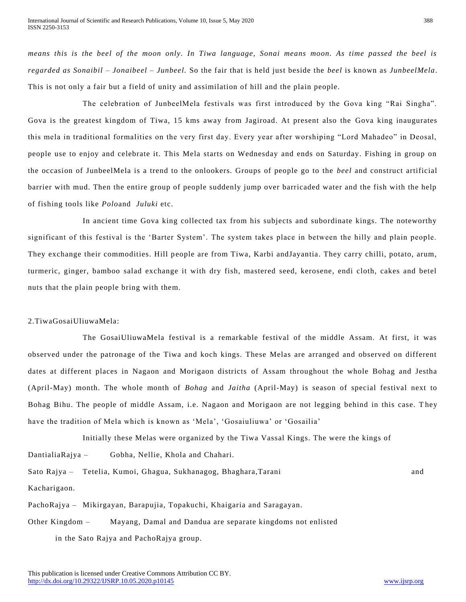*means this is the beel of the moon only. In Tiwa language, Sonai means moon. As time passed the beel is regarded as Sonaibil – Jonaibeel – Junbeel.* So the fair that is held just beside the *beel* is known as *JunbeelMela*. This is not only a fair but a field of unity and assimilation of hill and the plain people.

The celebration of JunbeelMela festivals was first introduced by the Gova king "Rai Singha". Gova is the greatest kingdom of Tiwa, 15 kms away from Jagiroad. At present also the Gova king inaugurates this mela in traditional formalities on the very first day. Every year after worshiping "Lord Mahadeo" in Deosal, people use to enjoy and celebrate it. This Mela starts on Wednesday and ends on Saturday. Fishing in group on the occasion of JunbeelMela is a trend to the onlookers. Groups of people go to the *beel* and construct artificial barrier with mud. Then the entire group of people suddenly jump over barricaded water and the fish with the help of fishing tools like *Polo*and *Juluki* etc.

In ancient time Gova king collected tax from his subjects and subordinate kings. The noteworthy significant of this festival is the 'Barter System'. The system takes place in between the hilly and plain people. They exchange their commodities. Hill people are from Tiwa, Karbi andJayantia. They carry chilli, potato, arum, turmeric, ginger, bamboo salad exchange it with dry fish, mastered seed, kerosene, endi cloth, cakes and betel nuts that the plain people bring with them.

# 2.TiwaGosaiUliuwaMela:

The GosaiUliuwaMela festival is a remarkable festival of the middle Assam. At first, it was observed under the patronage of the Tiwa and koch kings. These Melas are arranged and observed on different dates at different places in Nagaon and Morigaon districts of Assam throughout the whole Bohag and Jestha (April-May) month. The whole month of *Bohag* and *Jaitha* (April-May) is season of special festival next to Bohag Bihu. The people of middle Assam, i.e. Nagaon and Morigaon are not legging behind in this case. T hey have the tradition of Mela which is known as 'Mela', 'Gosaiuliuwa' or 'Gosailia'

Initially these Melas were organized by the Tiwa Vassal Kings. The were the kings of DantialiaRajya – Gobha, Nellie, Khola and Chahari.

Sato Rajya – Tetelia, Kumoi, Ghagua, Sukhanagog, Bhaghara,Tarani and

Kacharigaon.

PachoRajya – Mikirgayan, Barapujia, Topakuchi, Khaigaria and Saragayan.

Other Kingdom – Mayang, Damal and Dandua are separate kingdoms not enlisted

in the Sato Rajya and PachoRajya group.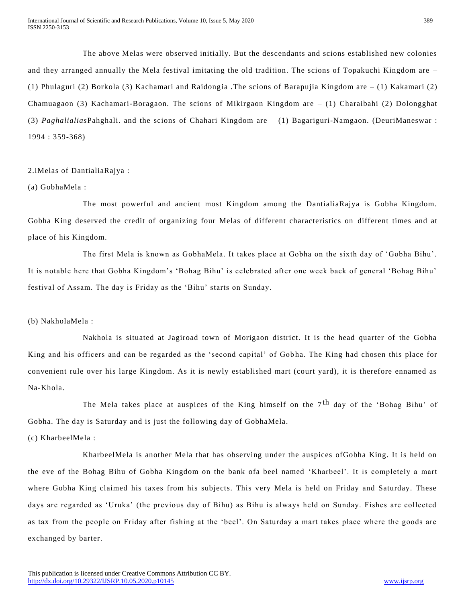The above Melas were observed initially. But the descendants and scions established new colonies and they arranged annually the Mela festival imitating the old tradition. The scions of Topakuchi Kingdom are – (1) Phulaguri (2) Borkola (3) Kachamari and Raidongia .The scions of Barapujia Kingdom are – (1) Kakamari (2) Chamuagaon (3) Kachamari-Boragaon. The scions of Mikirgaon Kingdom are – (1) Charaibahi (2) Dolongghat (3) *Paghalialias*Pahghali. and the scions of Chahari Kingdom are – (1) Bagariguri-Namgaon. (DeuriManeswar : 1994 : 359-368)

2.iMelas of DantialiaRajya :

# (a) GobhaMela :

The most powerful and ancient most Kingdom among the DantialiaRajya is Gobha Kingdom. Gobha King deserved the credit of organizing four Melas of different characteristics on different times and at place of his Kingdom.

The first Mela is known as GobhaMela. It takes place at Gobha on the sixth day of 'Gobha Bihu'. It is notable here that Gobha Kingdom's 'Bohag Bihu' is celebrated after one week back of general 'Bohag Bihu' festival of Assam. The day is Friday as the 'Bihu' starts on Sunday.

# (b) NakholaMela :

Nakhola is situated at Jagiroad town of Morigaon district. It is the head quarter of the Gobha King and his officers and can be regarded as the 'second capital' of Gobha. The King had chosen this place for convenient rule over his large Kingdom. As it is newly established mart (court yard), it is therefore ennamed as Na-Khola.

The Mela takes place at auspices of the King himself on the  $7<sup>th</sup>$  day of the 'Bohag Bihu' of Gobha. The day is Saturday and is just the following day of GobhaMela.

# (c) KharbeelMela :

KharbeelMela is another Mela that has observing under the auspices ofGobha King. It is held on the eve of the Bohag Bihu of Gobha Kingdom on the bank ofa beel named 'Kharbeel'. It is completely a mart where Gobha King claimed his taxes from his subjects. This very Mela is held on Friday and Saturday. These days are regarded as 'Uruka' (the previous day of Bihu) as Bihu is always held on Sunday. Fishes are collected as tax from the people on Friday after fishing at the 'beel'. On Saturday a mart takes place where the goods are exchanged by barter.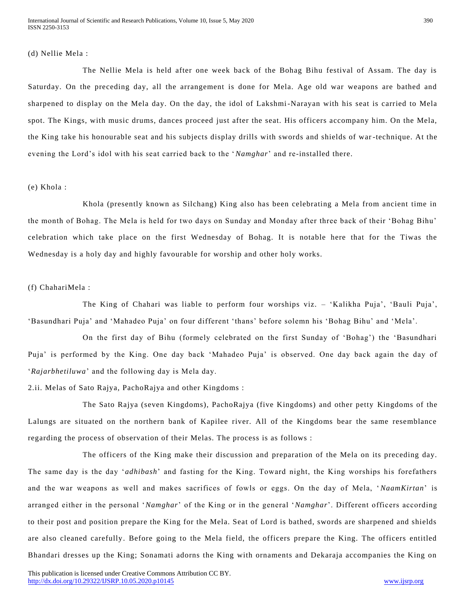#### (d) Nellie Mela :

The Nellie Mela is held after one week back of the Bohag Bihu festival of Assam. The day is Saturday. On the preceding day, all the arrangement is done for Mela. Age old war weapons are bathed and sharpened to display on the Mela day. On the day, the idol of Lakshmi-Narayan with his seat is carried to Mela spot. The Kings, with music drums, dances proceed just after the seat. His officers accompany him. On the Mela, the King take his honourable seat and his subjects display drills with swords and shields of war -technique. At the evening the Lord's idol with his seat carried back to the '*Namghar*' and re-installed there.

# (e) Khola :

Khola (presently known as Silchang) King also has been celebrating a Mela from ancient time in the month of Bohag. The Mela is held for two days on Sunday and Monday after three back of their 'Bohag Bihu' celebration which take place on the first Wednesday of Bohag. It is notable here that for the Tiwas the Wednesday is a holy day and highly favourable for worship and other holy works.

# (f) ChahariMela :

The King of Chahari was liable to perform four worships viz. – 'Kalikha Puja', 'Bauli Puja', 'Basundhari Puja' and 'Mahadeo Puja' on four different 'thans' before solemn his 'Bohag Bihu' and 'Mela'.

On the first day of Bihu (formely celebrated on the first Sunday of 'Bohag') the 'Basundhari Puja' is performed by the King. One day back 'Mahadeo Puja' is observed. One day back again the day of '*Rajarbhetiluwa*' and the following day is Mela day.

2.ii. Melas of Sato Rajya, PachoRajya and other Kingdoms :

The Sato Rajya (seven Kingdoms), PachoRajya (five Kingdoms) and other petty Kingdoms of the Lalungs are situated on the northern bank of Kapilee river. All of the Kingdoms bear the same resemblance regarding the process of observation of their Melas. The process is as follows :

The officers of the King make their discussion and preparation of the Mela on its preceding day. The same day is the day '*adhibash*' and fasting for the King. Toward night, the King worships his forefathers and the war weapons as well and makes sacrifices of fowls or eggs. On the day of Mela, ' *NaamKirtan*' is arranged either in the personal '*Namghar*' of the King or in the general '*Namghar*'. Different officers according to their post and position prepare the King for the Mela. Seat of Lord is bathed, swords are sharpened and shields are also cleaned carefully. Before going to the Mela field, the officers prepare the King. The officers entitled Bhandari dresses up the King; Sonamati adorns the King with ornaments and Dekaraja accompanies the King on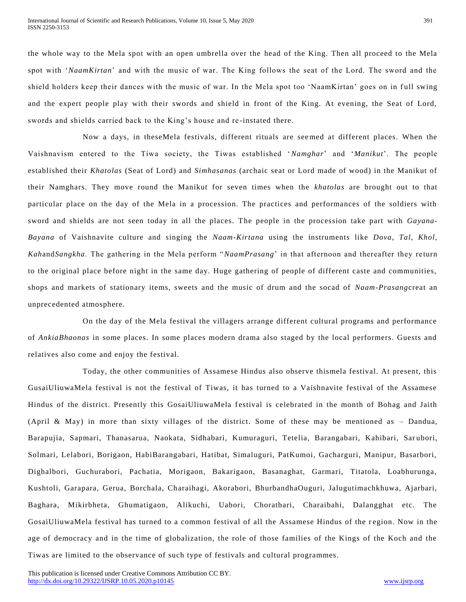the whole way to the Mela spot with an open umbrella over the head of the King. Then all proceed to the Mela spot with '*NaamKirtan*' and with the music of war. The King follows the seat of the Lord. The sword and the shield holders keep their dances with the music of war. In the Mela spot too 'NaamKirtan' goes on in full swing and the expert people play with their swords and shield in front of the King. At evening, the Seat of Lord, swords and shields carried back to the King's house and re -instated there.

Now a days, in theseMela festivals, different rituals are seemed at different places. When the Vaishnavism entered to the Tiwa society, the Tiwas established '*Namghar*' and '*Manikut*'. The people established their *Khatolas* (Seat of Lord) and *Simhasanas* (archaic seat or Lord made of wood) in the Manikut of their Namghars. They move round the Manikut for seven times when the *khatolas* are brought out to that particular place on the day of the Mela in a procession. The practices and performances of the soldiers with sword and shields are not seen today in all the places. The people in the procession take part with *Gayana-Bayana* of Vaishnavite culture and singing the *Naam-Kirtana* using the instruments like *Dova, Tal, Khol, Kah*and*Sangkha*. The gathering in the Mela perform "*NaamPrasang*' in that afternoon and thereafter they re turn to the original place before night in the same day. Huge gathering of people of different caste and communities, shops and markets of stationary items, sweets and the music of drum and the socad of *Naam-Prasang*creat an unprecedented atmosphere.

On the day of the Mela festival the villagers arrange different cultural programs and performance of *AnkiaBhaonas* in some places. In some places modern drama also staged by the local performers. Guests and relatives also come and enjoy the festival.

Today, the other communities of Assamese Hindus also observe thismela festival. At present, this GusaiUliuwaMela festival is not the festival of Tiwas, it has turned to a Vaishnavite festival of the Assamese Hindus of the district. Presently this GosaiUliuwaMela festival is celebrated in the month of Bohag and Jaith (April & May) in more than sixty villages of the district. Some of these may be mentioned as – Dandua, Barapujia, Sapmari, Thanasarua, Naokata, Sidhabari, Kumuraguri, Tetelia, Barangabari, Kahibari, Sar ubori, Solmari, Lelabori, Borigaon, HabiBarangabari, Hatibat, Simaluguri, PatKumoi, Gacharguri, Manipur, Basarbori, Dighalbori, Guchurabori, Pachatia, Morigaon, Bakarigaon, Basanaghat, Garmari, Titatola, Loabhurunga, Kushtoli, Garapara, Gerua, Borchala, Charaihagi, Akorabori, BhurbandhaOuguri, Jalugutimachkhuwa, Ajarbari, Baghara, Mikirbheta, Ghumatigaon, Alikuchi, Uabori, Choratbari, Charaibahi, Dalangghat etc. The GosaiUliuwaMela festival has turned to a common festival of all the Assamese Hindus of the region. Now in the age of democracy and in the time of globalization, the role of those families of the Kings of the Koch and the Tiwas are limited to the observance of such type of festivals and cultural programmes.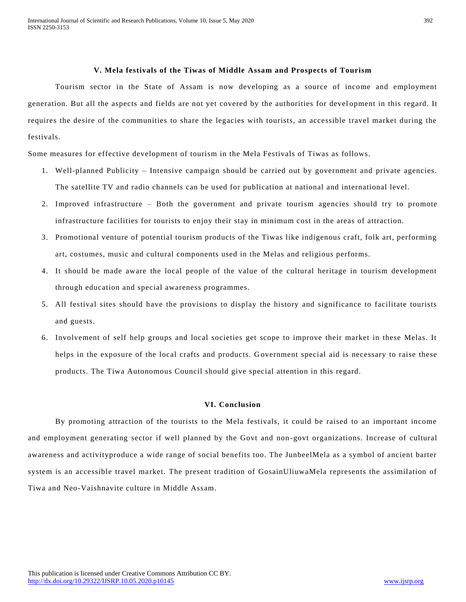## **V. Mela festivals of the Tiwas of Middle Assam and Prospects of Tourism**

Tourism sector in the State of Assam is now developing as a source of income and employment generation. But all the aspects and fields are not yet covered by the authorities for devel opment in this regard. It requires the desire of the communities to share the legacies with tourists, an accessible travel market during the festivals.

Some measures for effective development of tourism in the Mela Festivals of Tiwas as follows.

- 1. Well-planned Publicity Intensive campaign should be carried out by government and private agencies. The satellite TV and radio channels can be used for publication at national and international level.
- 2. Improved infrastructure Both the government and private tourism agencies should try to promote infrastructure facilities for tourists to enjoy their stay in minimum cost in the areas of attraction.
- 3. Promotional venture of potential tourism products of the Tiwas like indigenous craft, folk art, performing art, costumes, music and cultural components used in the Melas and religious performs.
- 4. It should be made aware the local people of the value of the cultural heritage in tourism development through education and special awareness programmes.
- 5. All festival sites should have the provisions to display the history and significance to facilitate tourists and guests.
- 6. Involvement of self help groups and local societies get scope to improve their market in these Melas. It helps in the exposure of the local crafts and products. Government special aid is necessary to raise these products. The Tiwa Autonomous Council should give special attention in this regard.

#### **VI. Conclusion**

By promoting attraction of the tourists to the Mela festivals, it could be raised to an important income and employment generating sector if well planned by the Govt and non -govt organizations. Increase of cultural awareness and activityproduce a wide range of social benefits too. The JunbeelMela as a symbol of ancient barter system is an accessible travel market. The present tradition of GosainUliuwaMela represents the assimilation of Tiwa and Neo-Vaishnavite culture in Middle Assam.